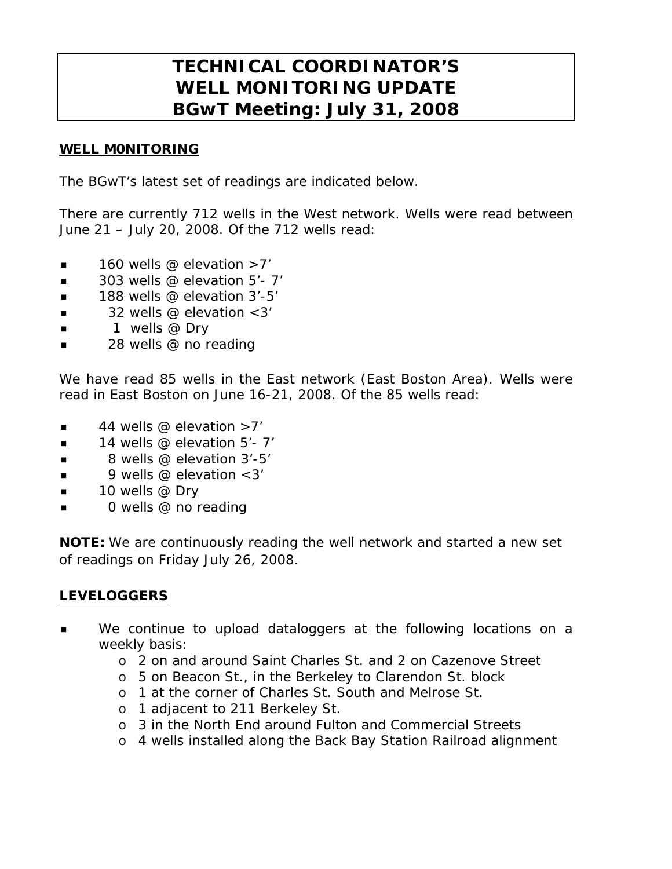## **TECHNICAL COORDINATOR'S WELL MONITORING UPDATE BGwT Meeting: July 31, 2008**

## WELL M0NITORING

The BGwT's latest set of readings are indicated below.

There are currently 712 wells in the West network. Wells were read between June 21 – July 20, 2008. Of the 712 wells read:

- $\blacksquare$  160 wells @ elevation >7'
- $\blacksquare$  303 wells @ elevation 5'-7'
- $\blacksquare$  188 wells @ elevation 3'-5'
- 32 wells @ elevation <3'
- $\blacksquare$  1 wells @ Dry
- 28 wells @ no reading

We have read 85 wells in the East network (East Boston Area). Wells were read in East Boston on June 16-21, 2008. Of the 85 wells read:

- $\blacksquare$  44 wells @ elevation >7'
- $\blacksquare$  14 wells @ elevation 5'- 7'
- $\blacksquare$  8 wells @ elevation 3'-5'
- $\blacksquare$  9 wells @ elevation < 3'
- $\blacksquare$  10 wells @ Dry
- 0 wells @ no reading

NOTE: We are continuously reading the well network and started a new set of readings on Friday July 26, 2008.

## LEVELOGGERS

- We continue to upload dataloggers at the following locations on a weekly basis:
	- o 2 on and around Saint Charles St. and 2 on Cazenove Street
	- o 5 on Beacon St., in the Berkeley to Clarendon St. block
	- o 1 at the corner of Charles St. South and Melrose St.
	- o 1 adjacent to 211 Berkeley St.
	- o 3 in the North End around Fulton and Commercial Streets
	- o 4 wells installed along the Back Bay Station Railroad alignment